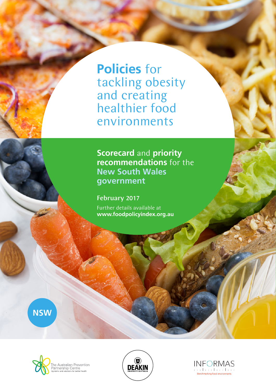**Policies** for tackling obesity and creating healthier food environments

**Scorecard** and **priority recommendations** for the **New South Wales government**

February 2017 Further details available at **www.foodpolicyindex.org.au**

**NSW**





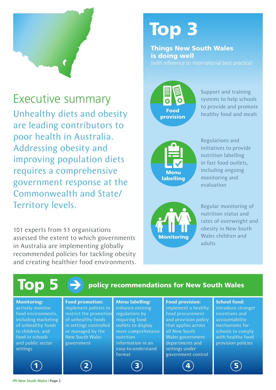

Executive summary Unhealthy diets and obesity are leading contributors to poor health in Australia. Addressing obesity and improving population diets requires a comprehensive government response at the Commonwealth and State/ Territory levels.

101 experts from 53 organisations assessed the extent to which governments in Australia are implementing globally recommended policies for tackling obesity and creating healthier food environments.

# Top 3

Things New South Wales is doing well



Support and training systems to help schools to provide and promote healthy food and meals



Regulations and initiatives to provide nutrition labelling in fast food outlets, including ongoing monitoring and evaluation



Regular monitoring of nutrition status and rates of overweight and obesity in New South Wales children and adults

| Top 5<br>policy recommendations for New South Wales                                                                                                                               |                                                                                                                                                                                 |                                                                                                                                                                                              |                                                                                                                                                                                                                  |                                                                                                                                                                 |
|-----------------------------------------------------------------------------------------------------------------------------------------------------------------------------------|---------------------------------------------------------------------------------------------------------------------------------------------------------------------------------|----------------------------------------------------------------------------------------------------------------------------------------------------------------------------------------------|------------------------------------------------------------------------------------------------------------------------------------------------------------------------------------------------------------------|-----------------------------------------------------------------------------------------------------------------------------------------------------------------|
| <b>Monitoring:</b><br>actively monitor<br>food environments,<br>including marketing<br>of unhealthy foods<br>to children, and<br>food in schools<br>and public sector<br>settings | <b>Food promotion:</b><br>implement policies to<br>restrict the promotion<br>of unhealthy foods<br>in settings controlled<br>or managed by the<br>New South Wales<br>government | <b>Menu labelling:</b><br>enhance existing<br>regulations by<br>requiring food<br>outlets to display<br>more comprehensive<br>nutrition<br>information in an<br>easy-to-understand<br>format | <b>Food provision:</b><br>implement a healthy<br>food procurement<br>and provision policy<br>that applies across<br>all New South<br>Wales government<br>departments and<br>settings under<br>government control | <b>School food:</b><br>introduce stronger<br>incentives and<br>accountability<br>mechanisms for<br>schools to comply<br>with healthy food<br>provision policies |
| $\mathbf 1$                                                                                                                                                                       | $\boxed{2}$                                                                                                                                                                     |                                                                                                                                                                                              |                                                                                                                                                                                                                  |                                                                                                                                                                 |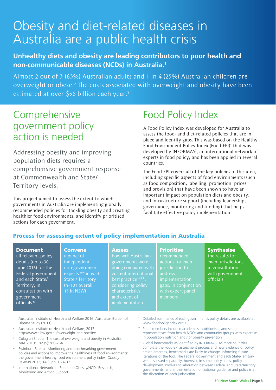# Obesity and diet-related diseases in Australia are a public health crisis

#### **Unhealthy diets and obesity are leading contributors to poor health and non-communicable diseases (NCDs) in Australia.1**

Almost 2 out of 3 (63%) Australian adults and 1 in 4 (25%) Australian children are overweight or obese.<sup>2</sup> The costs associated with overweight and obesity have been estimated at over \$56 billion each year.<sup>3</sup>

## Comprehensive government policy action is needed

Addressing obesity and improving population diets requires a comprehensive government response at Commonwealth and State/ Territory levels.

This project aimed to assess the extent to which governments in Australia are implementing globally recommended policies for tackling obesity and creating healthier food environments, and identify prioritised actions for each government.

**Convene** 

# Food Policy Index

A Food Policy Index was developed for Australia to assess the food- and diet-related policies that are in place and identify gaps. This was based on the Healthy Food Environment Policy Index (Food-EPI)<sup>4</sup> that was developed by INFORMAS<sup>5</sup>, an international network of experts in food policy, and has been applied in several countries.

The Food-EPI covers all of the key policies in this area, including specific aspects of food environments (such as food composition, labelling, promotion, prices and provision) that have been shown to have an important impact on population diets and obesity, and infrastructure support (including leadership, governance, monitoring and funding) that helps facilitate effective policy implementation.

#### Process for assessing extent of policy implementation in Australia

#### Document

all relevant policy details (up to 30 June 2016) for the Federal government and each State/ Territory, in consultation with government officials \*

#### **Assess**

implementation

a panel of independent non-government experts \*\* in each State / Territory (n=101 overall, 13 in NSW) how well Australian governments were doing compared with best practice \*\*\*, considering policy characteristics

#### **Prioritise**

recommended actions for each jurisdiction to address implementation gaps, in conjunction members

**Synthesise** 

the results for each jurisdiction, in consultation with government officials

- <sup>1</sup> Australian Institute of Health and Welfare 2016. Australian Burden of Disease Study (2011)
- <sup>2</sup> Australian Institute of Health and Welfare; 2017: http://www.aihw.gov.au/overweight-and-obesity/
- <sup>3</sup> Colagiuri S, et al. The cost of overweight and obesity in Australia. MJA 2010; 192 (5):260-264
- Swinburn B, et al. Monitoring and benchmarking government policies and actions to improve the healthiness of food environments: the government healthy food environment policy index. *Obesity Reviews* 2013; 14 Suppl 1:24-37
- <sup>5</sup> International Network for Food and Obesity/NCDs Research, Monitoring and Action Support
- Detailed summaries of each government's policy details are available at www.foodpolicyindex.org.au
- Panel members included academics, nutritionists, and senior representatives from health NGOs and community groups with expertise in population nutrition and / or obesity prevention
- Global benchmarks as identified by INFORMAS. As more countries complete the Food-EPI assessment process and new evidence of policy action emerges, benchmarks are likely to change, informing future iterations of the tool. The Federal government and each State/Territory were assessed separately; however, in some policy areas, policy development involves collaboration between Federal and State/Territory governments, and implementation of national guidance and policy is at the discretion of each jurisdiction.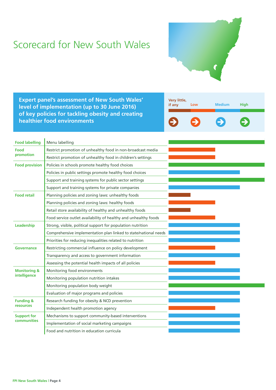# Scorecard for New South Wales



**Expert panel's assessment of New South Wales' level of implementation (up to 30 June 2016) of key policies for tackling obesity and creating healthier food environments**



| <b>Food labelling</b>   | Menu labelling                                                   |  |
|-------------------------|------------------------------------------------------------------|--|
| Food<br>promotion       | Restrict promotion of unhealthy food in non-broadcast media      |  |
|                         | Restrict promotion of unhealthy food in children's settings      |  |
| <b>Food provision</b>   | Policies in schools promote healthy food choices                 |  |
|                         | Policies in public settings promote healthy food choices         |  |
|                         | Support and training systems for public sector settings          |  |
|                         | Support and training systems for private companies               |  |
| <b>Food retail</b>      | Planning policies and zoning laws: unhealthy foods               |  |
|                         | Planning policies and zoning laws: healthy foods                 |  |
|                         | Retail store availability of healthy and unhealthy foods         |  |
|                         | Food service outlet availability of healthy and unhealthy foods  |  |
| Leadership              | Strong, visible, political support for population nutrition      |  |
|                         | Comprehensive implementation plan linked to state/national needs |  |
|                         | Priorities for reducing inequalities related to nutrition        |  |
| <b>Governance</b>       | Restricting commercial influence on policy development           |  |
|                         | Transparency and access to government information                |  |
|                         | Assessing the potential health impacts of all policies           |  |
| <b>Monitoring &amp;</b> | Monitoring food environments                                     |  |
| intelligence            | Monitoring population nutrition intakes                          |  |
|                         | Monitoring population body weight                                |  |
|                         | Evaluation of major programs and policies                        |  |
| <b>Funding &amp;</b>    | Research funding for obesity & NCD prevention                    |  |
| <b>resources</b>        | Independent health promotion agency                              |  |
| <b>Support for</b>      | Mechanisms to support community-based interventions              |  |
| communities             | Implementation of social marketing campaigns                     |  |
|                         | Food and nutrition in education curricula                        |  |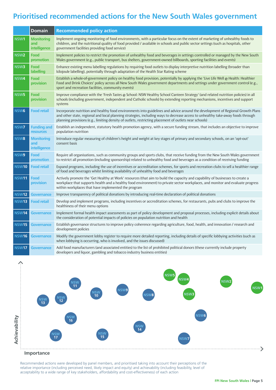### **Prioritised recommended actions for the New South Wales government**

|                  | <b>Domain</b>                                   | <b>Recommended policy action</b>                                                                                                                                                                                                                                                                                                                                            |
|------------------|-------------------------------------------------|-----------------------------------------------------------------------------------------------------------------------------------------------------------------------------------------------------------------------------------------------------------------------------------------------------------------------------------------------------------------------------|
| NSW1             | <b>Monitoring</b><br>and<br>intelligence        | Implement ongoing monitoring of food environments, with a particular focus on the extent of marketing of unhealthy foods to<br>children, and the nutritional quality of food provided / available in schools and public sector settings (such as hospitals, other<br>government facilities providing food service)                                                          |
| NSW <sub>2</sub> | Food<br>promotion                               | Implement policies to restrict the promotion of unhealthy food and beverages in settings controlled or managed by the New South<br>Wales government (e.g., public transport, bus shelters, government-owned billboards, sporting facilities and events)                                                                                                                     |
| NSW3             | Food<br>labelling                               | Enhance existing menu labelling regulations by requiring food outlets to display interpretive nutrition labelling (broader than<br>kilojoule labelling), potentially through adaptation of the Health Star Rating scheme                                                                                                                                                    |
| NSW4             | Food<br>provision                               | Establish a whole-of-government policy on healthy food provision, potentially by applying the 'Live Life Well $\omega$ Health: Healthier<br>Food and Drink Choices' policy across all New South Wales government departments and settings under government control (e.g.,<br>sport and recreation facilities, community events)                                             |
| NSW <sub>5</sub> | Food<br>provision                               | Improve compliance with the 'Fresh Tastes @ School: NSW Healthy School Canteen Strategy' (and related nutrition policies) in all<br>schools (including government, independent and Catholic schools) by extending reporting mechanisms, incentives and support<br>systems                                                                                                   |
| NSW6             | <b>Food retail</b>                              | Incorporate nutrition and healthy food environments into guidelines and advice around the development of Regional Growth Plans<br>and other state, regional and local planning strategies, including ways to decrease access to unhealthy take-away foods through<br>planning provisions (e.g., limiting density of outlets, restricting placement of outlets near schools) |
| <b>NSW7</b>      | <b>Funding and</b><br>resources                 | Establish an independent, statutory health promotion agency, with a secure funding stream, that includes an objective to improve<br>population nutrition                                                                                                                                                                                                                    |
| NSW8             | <b>Monitoring</b><br>and<br><i>intelligence</i> | Introduce regular measuring of children's height and weight at key stages of primary and secondary schools, on an 'opt-out'<br>consent basis                                                                                                                                                                                                                                |
| NSW9             | Food<br>promotion                               | Require all organisations, such as community groups and sports clubs, that receive funding from the New South Wales government<br>to restrict all promotion (including sponsorship) related to unhealthy food and beverages as a condition of receiving funding                                                                                                             |
| <b>NSW10</b>     | <b>Food retail</b>                              | Expand programs, including the use of incentives or accreditation schemes, for sports and recreation clubs to sell a healthier range<br>of food and beverages whilst limiting availability of unhealthy food and beverages                                                                                                                                                  |
| <b>NSW11</b>     | Food<br>provision                               | Actively promote the 'Get Healthy at Work' resources (that aim to build the capacity and capability of businesses to create a<br>workplace that supports health and a healthy food environment) to private sector workplaces, and monitor and evaluate progress<br>within workplaces that have implemented the program                                                      |
| <b>NSW12</b>     | <b>Governance</b>                               | Improve transparency of political donations by introducing real-time declaration of political donations                                                                                                                                                                                                                                                                     |
| <b>NSW13</b>     | <b>Food retail</b>                              | Develop and implement programs, including incentives or accreditation schemes, for restaurants, pubs and clubs to improve the<br>healthiness of their menu options                                                                                                                                                                                                          |
| <b>NSW14</b>     | <b>Governance</b>                               | Implement formal health impact assessments as part of policy development and proposal processes, including explicit details about<br>the consideration of potential impacts of policies on population nutrition and health                                                                                                                                                  |
| <b>NSW15</b>     | <b>Governance</b>                               | Establish governance structures to improve policy coherence regarding agriculture, food, health, and innovation / research and<br>development policies                                                                                                                                                                                                                      |
| <b>NSW16</b>     | <b>Governance</b>                               | Modify the government lobby register to require more detailed reporting, including details of specific lobbying activities (such as<br>when lobbying is occurring, who is involved, and the issues discussed)                                                                                                                                                               |
| <b>NSW17</b>     | <b>Governance</b>                               | Add food manufacturers (and associated entities) to the list of prohibited political donors (these currently include property<br>developers and liquor, gambling and tobacco industry business entities)                                                                                                                                                                    |



#### **Importance**

Recommended actions were developed by panel members, and prioritised taking into account their perceptions of the relative importance (including perceived need, likely impact and equity) and achievability (including feasibility, level of acceptability to a wide range of key stakeholders, affordability and cost-effectiveness) of each action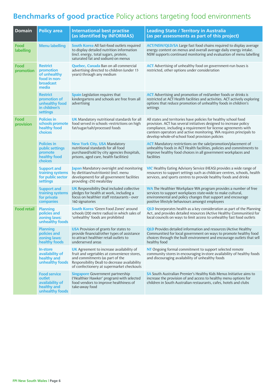### **Benchmarks of good practice** Policy actions targeting food environments

| <b>Domain</b>      | <b>Policy area</b>                                                                 | <b>International best practise</b><br>(as identified by INFORMAS)                                                                                                                                                               | <b>Leading State / Territory in Australia</b><br>(as per assessments as part of this project)                                                                                                                                                                                                                                      |
|--------------------|------------------------------------------------------------------------------------|---------------------------------------------------------------------------------------------------------------------------------------------------------------------------------------------------------------------------------|------------------------------------------------------------------------------------------------------------------------------------------------------------------------------------------------------------------------------------------------------------------------------------------------------------------------------------|
| Food<br>labelling  | <b>Menu labelling</b>                                                              | <b>South Korea</b> All fast-food outlets required<br>to display detailed nutrition information<br>(incl. energy, total sugars, protein,<br>saturated fat and sodium) on menus                                                   | <b>ACT/NSW/QLD/SA</b> Large fast food chains required to display average<br>energy content on menus and overall average daily energy intake.<br>NSW supports continued monitoring and evaluation of menu labelling                                                                                                                 |
| Food<br>promotion  | <b>Restrict</b><br>promotion<br>of unhealthy<br>food in non-<br>broadcast<br>media | <b>Quebec, Canada</b> Ban on all commercial<br>advertising directed to children (under 13<br>years) through any medium                                                                                                          | <b>ACT</b> Advertising of unhealthy food on government-run buses is<br>restricted, other options under consideration                                                                                                                                                                                                               |
|                    | <b>Restrict</b><br>promotion of<br>unhealthy food<br>in children's<br>settings     | <b>Spain</b> Legislation requires that<br>kindergartens and schools are free from all<br>advertising                                                                                                                            | <b>ACT</b> Advertising and promotion of red/amber foods or drinks is<br>restricted at ACT Health facilities and activities. ACT actively exploring<br>options that reduce promotion of unhealthy foods in children's<br>settings                                                                                                   |
| Food<br>provision  | <b>Policies in</b><br>schools promote<br>healthy food<br>choices                   | <b>UK</b> Mandatory nutritional standards for all<br>food served in schools -restrictions on high<br>fat/sugar/salt/processed foods                                                                                             | All states and territories have policies for healthy school food<br>provision. ACT has several initiatives designed to increase policy<br>compliance, including a requirement for license agreements with<br>canteen operators and active monitoring. WA requires principals to<br>develop whole-of-school food provision policies |
|                    | <b>Policies in</b><br>public settings<br>promote<br>healthy food<br><b>choices</b> | <b>New York City, USA Mandatory</b><br>nutritional standards for all food<br>purchased/sold by city agencies (hospitals,<br>prisons, aged care, health facilities)                                                              | <b>ACT</b> Mandatory restrictions on the sale/promotion/placement of<br>unhealthy foods in ACT Health facilities, policies and commitments to<br>improve healthy food choices in all government workplaces and<br>facilities                                                                                                       |
|                    | <b>Support and</b><br>training systems<br>for public sector<br>settings            | Japan Mandatory oversight and monitoring<br>by dietitian/nutritionist (incl. menu<br>development) for all government facilities<br>providing >250 meals/day                                                                     | <b>VIC</b> Healthy Eating Advisory Service (HEAS) provides a wide range of<br>resources to support settings such as childcare centres, schools, health<br>services, and sports centres to provide healthy foods and drinks                                                                                                         |
|                    | <b>Support and</b><br>training systems<br>for private<br>companies                 | <b>UK</b> Responsibility Deal included collective<br>pledges for health at work, including a<br>focus on healthier staff restaurants - over<br>160 signatories                                                                  | <b>WA</b> The Healthier Workplace WA program provides a number of free<br>services to support workplaces state-wide to make cultural,<br>environmental and policy changes that support and encourage<br>positive lifestyle behaviours amongst employees                                                                            |
| <b>Food retail</b> | <b>Planning</b><br>policies and<br>zoning laws:<br>unhealthy foods                 | <b>South Korea</b> 'Green Food Zones' around<br>schools (200 metre radius) in which sales of<br>'unhealthy' foods are prohibited                                                                                                | <b>QLD</b> Incorporates health as a key consideration as part of the Planning<br>Act, and provides detailed resources (Active Healthy Communities) for<br>local councils on ways to limit access to unhealthy fast food outlets                                                                                                    |
|                    | <b>Planning</b><br>policies and<br>zoning laws:<br>healthy foods                   | <b>USA</b> Provision of grants for states to<br>provide financial/other types of assistance<br>to attract healthier retail outlets to<br>underserved areas                                                                      | <b>QLD</b> Provides detailed information and resources (Active Healthy<br>Communities) for local government on ways to promote healthy food<br>choices through the built environment and encourage outlets that sell<br>healthy food                                                                                               |
|                    | <b>In-store</b><br>availability of<br>healthy and<br>unhealthy foods               | <b>UK</b> Agreement to increase availability of<br>fruit and vegetables at convenience stores,<br>and commitments (as part of the<br>Responsibility Deal) to decrease availability<br>of confectionery at supermarket checkouts | NT Ongoing formal commitment to support selected remote<br>community stores in encouraging in-store availability of healthy foods<br>and discouraging availability of unhealthy foods                                                                                                                                              |
|                    | <b>Food service</b><br>outlet<br>availability of<br>healthy and<br>unhealthy foods | <b>Singapore</b> Government partnership<br>('Healthier Hawker' program) with selected<br>food vendors to improve healthiness of<br>take-away food                                                                               | SA South Australian Premier's Healthy Kids Menus Initiative aims to<br>increase the provision of and access to healthy menu options for<br>children in South Australian restaurants, cafes, hotels and clubs                                                                                                                       |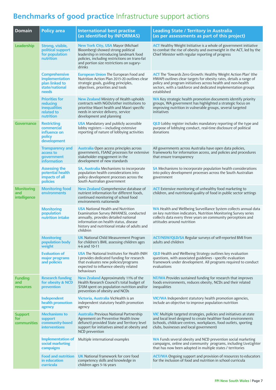# **Benchmarks of good practice** Infrastructure support actions

| <b>Domain</b>                             | <b>Policy area</b>                                                                  | <b>International best practise</b><br>(as identified by INFORMAS)                                                                                                                                                                | <b>Leading State / Territory in Australia</b><br>(as per assessments as part of this project)                                                                                                                                                                                              |
|-------------------------------------------|-------------------------------------------------------------------------------------|----------------------------------------------------------------------------------------------------------------------------------------------------------------------------------------------------------------------------------|--------------------------------------------------------------------------------------------------------------------------------------------------------------------------------------------------------------------------------------------------------------------------------------------|
| Leadership                                | Strong, visible,<br>political support<br>for population<br>nutrition                | <b>New York City, USA Mayor (Michael</b><br>Bloomberg) showed strong political<br>leadership in introducing landmark food<br>policies, including restrictions on trans-fat<br>and portion size restrictions on sugary-<br>drinks | <b>ACT</b> Healthy Weight Initiative is a whole of government initiative<br>to combat the rise of obesity and overweight in the ACT, led by the<br>Chief Minister with regular reporting of progress                                                                                       |
|                                           | <b>Comprehensive</b><br>implementation<br>plan linked to<br>state/national<br>needs | <b>European Union The European Food and</b><br>Nutrition Action Plan 2015-20 outlines clear<br>strategic goals, guiding principles,<br>objectives, priorities and tools                                                          | <b>ACT</b> The 'Towards Zero Growth: Healthy Weight Action Plan' (the<br>HWAP) outlines clear targets for obesity rates, details a range of<br>policy and program initiatives across health and non-health<br>sectors, with a taskforce and dedicated implementation groups<br>established |
|                                           | <b>Priorities for</b><br>reducing<br><b>inequalities</b><br>related to<br>nutrition | <b>New Zealand</b> Ministry of Health upholds<br>contracts with NGOs/other institutions to<br>prioritise Maori health and Maori specific<br>needs in service delivery, service<br>development and planning                       | <b>WA</b> Key strategic health promotion documents identify priority<br>groups, WA government has highlighted a strategic focus on<br>improving nutrition in vulnerable groups, several targeted<br>initiatives                                                                            |
| <b>Governance</b>                         | <b>Restricting</b><br>commercial<br>influence on<br>policy<br>development           | <b>USA</b> Mandatory and publicly accessible<br>lobby registers - including extensive<br>reporting of nature of lobbying activities                                                                                              | <b>QLD</b> Lobby register includes mandatory reporting of the type and<br>purpose of lobbying conduct, real-time disclosure of political<br>donations                                                                                                                                      |
|                                           | <b>Transparency and</b><br>access to<br>government<br><b>information</b>            | <b>Australia</b> Open access principles across<br>governments, FSANZ processes for extensive<br>stakeholder engagement in the<br>development of new standards                                                                    | All governments across Australia have open data policies,<br>frameworks for information access, and policies and procedures<br>that ensure transparency                                                                                                                                    |
|                                           | <b>Assessing the</b><br>potential health<br>impacts of all<br>policies              | <b>SA, Australia</b> Mechanisms to incorporate<br>population health considerations into<br>policy development processes across the<br>South Australian government                                                                | SA Mechanisms to incorporate population health considerations<br>into policy development processes across the South Australian<br>government                                                                                                                                               |
| <b>Monitoring</b><br>and<br>intelligence  | <b>Monitoring food</b><br>environments                                              | <b>New Zealand</b> Comprehensive database of<br>nutrient information for different foods,<br>continued monitoring of school food<br>environments nationwide                                                                      | <b>ACT</b> Extensive monitoring of unhealthy food marketing to<br>children, and nutritional quality of food in public sector settings                                                                                                                                                      |
|                                           | <b>Monitoring</b><br>population<br>nutrition intake                                 | <b>USA</b> National Health and Nutrition<br>Examination Survey (NHANES), conducted<br>annually, provides detailed national<br>information on health status, disease<br>history and nutritional intake of adults and<br>children  | WA Health and Wellbeing Surveillance System collects annual data<br>on key nutrition indicators, Nutrition Monitoring Survey series<br>collects data every three years on community perceptions and<br>attitudes around nutrition                                                          |
|                                           | <b>Monitoring</b><br>population body<br>weight                                      | <b>UK</b> National Child Measurement Program<br>for children's BMI, assessing children ages<br>4-6 and 10-11                                                                                                                     | <b>ACT/NSW/QLD/SA</b> Regular surveys of self-reported BMI from<br>adults and children                                                                                                                                                                                                     |
|                                           | <b>Evaluation of</b><br>major programs<br>and policies                              | <b>USA</b> The National Institutes for Health (NIH<br>) provides dedicated funding for research<br>that evaluates new policies/programs<br>expected to influence obesity related<br>behaviours                                   | <b>QLD</b> Health and Wellbeing Strategy outlines key evaluation<br>questions, with associated guidelines - specific evaluation<br>framework under development. All programs required to conduct<br>evaluations                                                                            |
| <b>Funding</b><br>and<br><b>resources</b> | <b>Research funding</b><br>for obesity & NCD<br>prevention                          | New Zealand Approximately 11% of the<br>Health Research Council's total budget of<br>\$70M spent on population nutrition and/or<br>prevention of obesity and NCDs                                                                | <b>NT/WA</b> Provides sustained funding for research that improves<br>foods environments, reduces obesity, NCDs and their related<br>inequalities                                                                                                                                          |
|                                           | Independent<br>health promotion<br>agency                                           | Victoria, Australia VicHealth is an<br>independent statutory health promotion<br>agency                                                                                                                                          | <b>VIC/WA</b> Independent statutory health promotion agencies,<br>include an objective to improve population nutrition                                                                                                                                                                     |
| <b>Support</b><br>for<br>communities      | <b>Mechanisms to</b><br>support<br>community-based<br><b>interventions</b>          | <b>Australia</b> Previous National Partnership<br>Agreement on Preventive Health (now<br>defunct) provided State and Territory level<br>support for initiatives aimed at obesity and<br>NCD prevention                           | <b>VIC</b> Multiple targeted strategies, policies and initiatives at state<br>and local level designed to create healthier food environments<br>(schools, childcare centres, workplaces, food outlets, sporting<br>clubs, businesses and local government)                                 |
|                                           | <b>Implementation of</b><br>social marketing<br>campaigns                           | Multiple international examples                                                                                                                                                                                                  | WA Funds several obesity and NCD prevention social marketing<br>campaigns, online and community programs, including LiveLighter<br>that has now been adopted in multiple states / territories                                                                                              |
|                                           | <b>Food and nutrition</b><br>in education<br>curricula                              | <b>UK</b> National framework for core food<br>competency skills and knowledge in<br>children ages 5-16 years                                                                                                                     | <b>ACT/WA</b> Ongoing support and provision of resources to educators<br>for the inclusion of food and nutrition in school curricula                                                                                                                                                       |